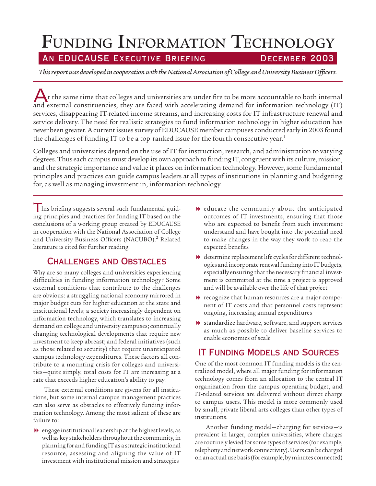# FUNDING INFORMATION TECHNOLOGY

# AN EDUCAUSE EXECUTIVE BRIEFING DECEMBER 2003

*This report was developed in cooperation with the National Association of College and University Business Officers.*

 $\bigwedge$ t the same time that colleges and universities are under fire to be more accountable to both internal and external constituencies, they are faced with accelerating demand for information technology (IT) services, disappearing IT-related income streams, and increasing costs for IT infrastructure renewal and service delivery. The need for realistic strategies to fund information technology in higher education has never been greater. A current issues survey of EDUCAUSE member campuses conducted early in 2003 found the challenges of funding IT to be a top-ranked issue for the fourth consecutive year.<sup>1</sup>

Colleges and universities depend on the use of IT for instruction, research, and administration to varying degrees. Thus each campus must develop its own approach to funding IT, congruent with its culture, mission, and the strategic importance and value it places on information technology. However, some fundamental principles and practices can guide campus leaders at all types of institutions in planning and budgeting for, as well as managing investment in, information technology.

I his briefing suggests several such fundamental guiding principles and practices for funding IT based on the conclusions of a working group created by EDUCAUSE in cooperation with the National Association of College and University Business Officers (NACUBO).<sup>2</sup> Related literature is cited for further reading.

## Challenges and Obstacles

Why are so many colleges and universities experiencing difficulties in funding information technology? Some external conditions that contribute to the challenges are obvious: a struggling national economy mirrored in major budget cuts for higher education at the state and institutional levels; a society increasingly dependent on information technology, which translates to increasing demand on college and university campuses; continually changing technological developments that require new investment to keep abreast; and federal initiatives (such as those related to security) that require unanticipated campus technology expenditures. These factors all contribute to a mounting crisis for colleges and universities—quite simply, total costs for IT are increasing at a rate that exceeds higher education's ability to pay.

These external conditions are givens for all institutions, but some internal campus management practices can also serve as obstacles to effectively funding information technology. Among the most salient of these are failure to:

 $\rightarrow$  engage institutional leadership at the highest levels, as well as key stakeholders throughout the community, in planning for and funding IT as a strategic institutional resource, assessing and aligning the value of IT investment with institutional mission and strategies

- 8 educate the community about the anticipated outcomes of IT investments, ensuring that those who are expected to benefit from such investment understand and have bought into the potential need to make changes in the way they work to reap the expected benefits
- $\blacktriangleright$  determine replacement life cycles for different technologies and incorporate renewal funding into IT budgets, especially ensuring that the necessary financial investment is committed at the time a project is approved and will be available over the life of that project
- $\blacktriangleright$  recognize that human resources are a major component of IT costs and that personnel costs represent ongoing, increasing annual expenditures
- 8 standardize hardware, software, and support services as much as possible to deliver baseline services to enable economies of scale

# IT Funding Models and Sources

One of the most common IT funding models is the centralized model, where all major funding for information technology comes from an allocation to the central IT organization from the campus operating budget, and IT-related services are delivered without direct charge to campus users. This model is more commonly used by small, private liberal arts colleges than other types of institutions.

Another funding model—charging for services—is prevalent in larger, complex universities, where charges are routinely levied for some types of services (for example, telephony and network connectivity). Users can be charged on an actual use basis (for example, by minutes connected)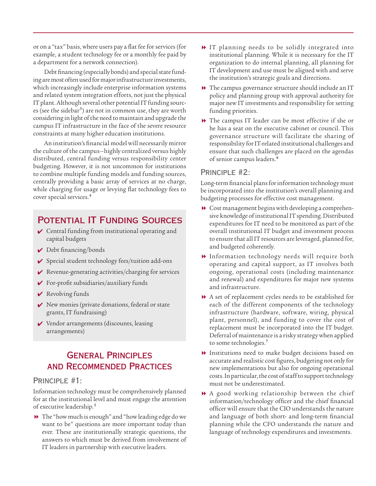or on a "tax" basis, where users pay a flat fee for services (for example, a student technology fee or a monthly fee paid by a department for a network connection).

Debt financing (especially bonds) and special state funding are most often used for major infrastructure investments, which increasingly include enterprise information systems and related system integration efforts, not just the physical IT plant. Although several other potential IT funding sources (see the sidebar<sup>3</sup>) are not in common use, they are worth considering in light of the need to maintain and upgrade the campus IT infrastructure in the face of the severe resource constraints at many higher education institutions.

An institution's financial model will necessarily mirror the culture of the campus—highly centralized versus highly distributed, central funding versus responsibility center budgeting. However, it is not uncommon for institutions to combine multiple funding models and funding sources, centrally providing a basic array of services at no charge, while charging for usage or levying flat technology fees to cover special services.<sup>4</sup>

# Potential IT Funding Sources

- $\vee$  Central funding from institutional operating and capital budgets
- Debt financing/bonds
- $\checkmark$  Special student technology fees/tuition add-ons
- $\vee$  Revenue-generating activities/charging for services
- For-profit subsidiaries/auxiliary funds
- **►** Revolving funds
- $\vee$  New monies (private donations, federal or state grants, IT fundraising)
- Vendor arrangements (discounts, leasing arrangements)

# General Principles and Recommended Practices

#### PRINCIPLE #1:

Information technology must be comprehensively planned for at the institutional level and must engage the attention of executive leadership.<sup>5</sup>

8 The "how much is enough" and "how leading edge do we want to be" questions are more important today than ever. These are institutionally strategic questions, the answers to which must be derived from involvement of IT leaders in partnership with executive leaders.

- 8 IT planning needs to be solidly integrated into institutional planning. While it is necessary for the IT organization to do internal planning, all planning for IT development and use must be aligned with and serve the institution's strategic goals and directions.
- $\blacktriangleright$  The campus governance structure should include an IT policy and planning group with approval authority for major new IT investments and responsibility for setting funding priorities.
- 8 The campus IT leader can be most effective if she or he has a seat on the executive cabinet or council. This governance structure will facilitate the sharing of responsibility for IT-related institutional challenges and ensure that such challenges are placed on the agendas of senior campus leaders.<sup>6</sup>

#### Principle #2:

Long-term financial plans for information technology must be incorporated into the institution's overall planning and budgeting processes for effective cost management.

- $\triangle$  Cost management begins with developing a comprehensive knowledge of institutional IT spending. Distributed expenditures for IT need to be monitored as part of the overall institutional IT budget and investment process to ensure that all IT resources are leveraged, planned for, and budgeted coherently.
- 8 Information technology needs will require both operating and capital support, as IT involves both ongoing, operational costs (including maintenance and renewal) and expenditures for major new systems and infrastructure.
- 8 A set of replacement cycles needs to be established for each of the different components of the technology infrastructure (hardware, software, wiring, physical plant, personnel), and funding to cover the cost of replacement must be incorporated into the IT budget. Deferral of maintenance is a risky strategy when applied to some technologies.<sup>7</sup>
- 8 Institutions need to make budget decisions based on accurate and realistic cost figures, budgeting not only for new implementations but also for ongoing operational costs. In particular, the cost of staff to support technology must not be underestimated.
- 8 A good working relationship between the chief information/technology officer and the chief financial officer will ensure that the CIO understands the nature and language of both short- and long-term financial planning while the CFO understands the nature and language of technology expenditures and investments.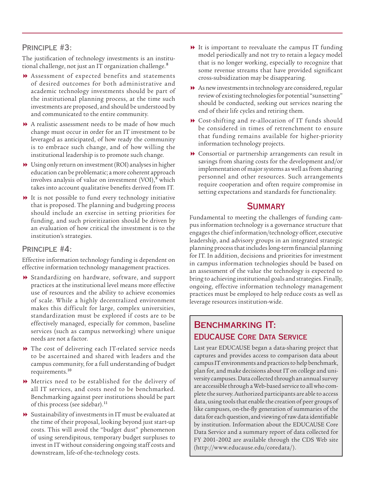#### Principle #3:

The justification of technology investments is an institutional challenge, not just an IT organization challenge.<sup>8</sup>

- 8 Assessment of expected benefits and statements of desired outcomes for both administrative and academic technology investments should be part of the institutional planning process, at the time such investments are proposed, and should be understood by and communicated to the entire community.
- 8 A realistic assessment needs to be made of how much change must occur in order for an IT investment to be leveraged as anticipated, of how ready the community is to embrace such change, and of how willing the institutional leadership is to promote such change.
- 8 Using only return on investment (ROI) analyses in higher education can be problematic; a more coherent approach involves analysis of value on investment (VOI),<sup>9</sup> which takes into account qualitative benefits derived from IT.
- 8 It is not possible to fund every technology initiative that is proposed. The planning and budgeting process should include an exercise in setting priorities for funding, and such prioritization should be driven by an evaluation of how critical the investment is to the institution's strategies.

#### Principle #4:

Effective information technology funding is dependent on effective information technology management practices.

- 8 Standardizing on hardware, software, and support practices at the institutional level means more effective use of resources and the ability to achieve economies of scale. While a highly decentralized environment makes this difficult for large, complex universities, standardization must be explored if costs are to be effectively managed, especially for common, baseline services (such as campus networking) where unique needs are not a factor.
- $\blacktriangleright$  The cost of delivering each IT-related service needs to be ascertained and shared with leaders and the campus community, for a full understanding of budget requirements.<sup>10</sup>
- 8 Metrics need to be established for the delivery of all IT services, and costs need to be benchmarked. Benchmarking against peer institutions should be part of this process (see sidebar).<sup>11</sup>
- 8 Sustainability of investments in IT must be evaluated at the time of their proposal, looking beyond just start-up costs. This will avoid the "budget dust" phenomenon of using serendipitous, temporary budget surpluses to invest in IT without considering ongoing staff costs and downstream, life-of-the-technology costs.
- 8 It is important to reevaluate the campus IT funding model periodically and not try to retain a legacy model that is no longer working, especially to recognize that some revenue streams that have provided significant cross-subsidization may be disappearing.
- $\blacktriangleright$  As new investments in technology are considered, regular review of existing technologies for potential "sunsetting" should be conducted, seeking out services nearing the end of their life cycles and retiring them.
- 8 Cost-shifting and re-allocation of IT funds should be considered in times of retrenchment to ensure that funding remains available for higher-priority information technology projects.
- 8 Consortial or partnership arrangements can result in savings from sharing costs for the development and/or implementation of major systems as well as from sharing personnel and other resources. Such arrangements require cooperation and often require compromise in setting expectations and standards for functionality.

### **SUMMARY**

Fundamental to meeting the challenges of funding campus information technology is a governance structure that engages the chief information/technology officer, executive leadership, and advisory groups in an integrated strategic planning process that includes long-term financial planning for IT. In addition, decisions and priorities for investment in campus information technologies should be based on an assessment of the value the technology is expected to bring to achieving institutional goals and strategies. Finally, ongoing, effective information technology management practices must be employed to help reduce costs as well as leverage resources institution-wide.

# BENCHMARKING IT: EDUCAUSE Core Data Service

Last year EDUCAUSE began a data-sharing project that captures and provides access to comparison data about campus IT environments and practices to help benchmark, plan for, and make decisions about IT on college and university campuses. Data collected through an annual survey are accessible through a Web-based service to all who complete the survey. Authorized participants are able to access data, using tools that enable the creation of peer groups of like campuses, on-the-fly generation of summaries of the data for each question, and viewing of raw data identifiable by institution. Information about the EDUCAUSE Core Data Service and a summary report of data collected for FY 2001–2002 are available through the CDS Web site (http://www.educause.edu/coredata/).